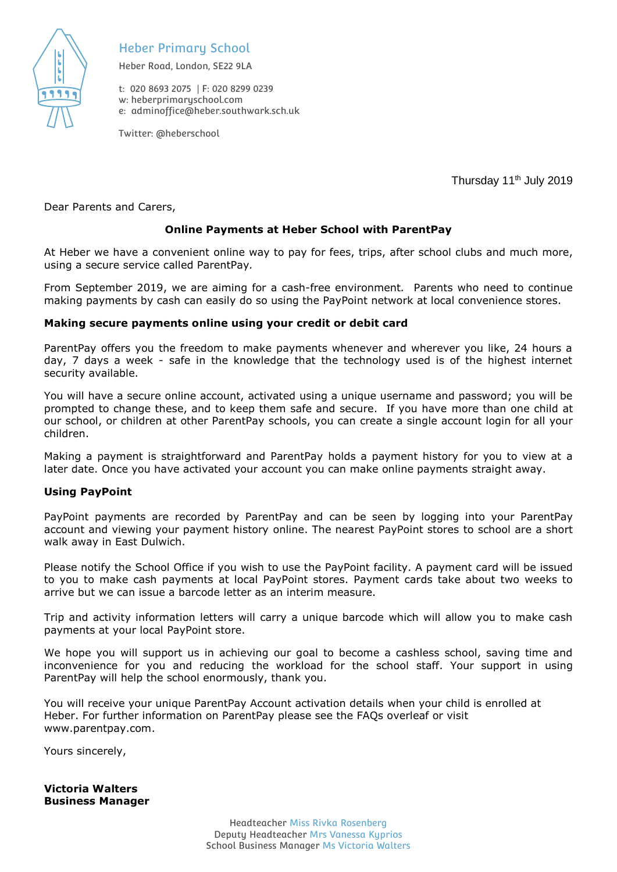

# Heber Primary School

Heber Road, London, SE22 9LA

t: 020 8693 2075 | F: 020 8299 0239 w: heberprimaryschool.com e: [adminoffice@heber.southwark.sch.uk](mailto:adminoffice@heber.southwark.sch.uk)

Twitter: @heberschool

Thursday 11<sup>th</sup> July 2019

Dear Parents and Carers,

#### **Online Payments at Heber School with ParentPay**

At Heber we have a convenient online way to pay for fees, trips, after school clubs and much more, using a secure service called ParentPay*.* 

From September 2019, we are aiming for a cash-free environment*.* Parents who need to continue making payments by cash can easily do so using the PayPoint network at local convenience stores.

#### **Making secure payments online using your credit or debit card**

ParentPay offers you the freedom to make payments whenever and wherever you like, 24 hours a day, 7 days a week - safe in the knowledge that the technology used is of the highest internet security available.

You will have a secure online account, activated using a unique username and password; you will be prompted to change these, and to keep them safe and secure. If you have more than one child at our school, or children at other ParentPay schools, you can create a single account login for all your children.

Making a payment is straightforward and ParentPay holds a payment history for you to view at a later date. Once you have activated your account you can make online payments straight away.

#### **Using PayPoint**

PayPoint payments are recorded by ParentPay and can be seen by logging into your ParentPay account and viewing your payment history online. The nearest PayPoint stores to school are a short walk away in East Dulwich.

Please notify the School Office if you wish to use the PayPoint facility. A payment card will be issued to you to make cash payments at local PayPoint stores. Payment cards take about two weeks to arrive but we can issue a barcode letter as an interim measure.

Trip and activity information letters will carry a unique barcode which will allow you to make cash payments at your local PayPoint store.

We hope you will support us in achieving our goal to become a cashless school, saving time and inconvenience for you and reducing the workload for the school staff. Your support in using ParentPay will help the school enormously, thank you.

You will receive your unique ParentPay Account activation details when your child is enrolled at Heber. For further information on ParentPay please see the FAQs overleaf or visit www.parentpay.com.

Yours sincerely,

**Victoria Walters Business Manager**

> Headteacher Miss Rivka Rosenberg Deputy Headteacher Mrs Vanessa Kyprios School Business Manager Ms Victoria Walters